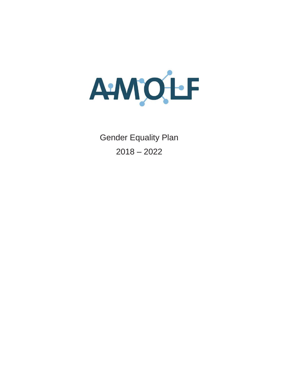

Gender Equality Plan 2018 – 2022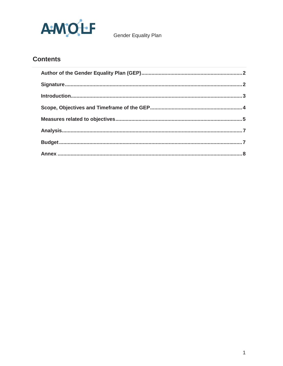

# **Contents**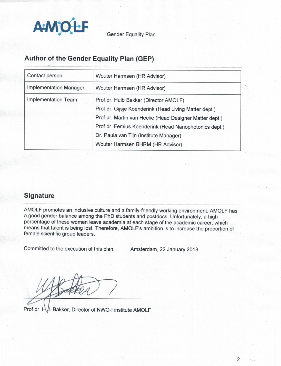

# Author of the Gender Equality Plan (GEP)

| Contact person                | Wouter Harmsen (HR Advisor)                                                                                                                                                                                                                                 |  |  |
|-------------------------------|-------------------------------------------------------------------------------------------------------------------------------------------------------------------------------------------------------------------------------------------------------------|--|--|
| <b>Implementation Manager</b> | Wouter Harmsen (HR Advisor)                                                                                                                                                                                                                                 |  |  |
| Implementation Team           | Prof.dr. Huib Bakker (Director AMOLF)<br>Prof.dr. Gijsje Koenderink (Head Living Matter dept.)<br>Prof.dr. Martin van Hecke (Head Designer Matter dept.)<br>Prof.dr. Femius Koenderink (Head Nanophotonics dept.)<br>Dr. Paula van Tijn (Institute Manager) |  |  |
|                               | Wouter Harmsen BHRM (HR Advisor)                                                                                                                                                                                                                            |  |  |

## **Signature**

AMOLF promotes an inclusive culture and a family-friendly working environment. AMOLF has a good gender balance among the PhD students and postdocs. Unfortunately, a high percentage of these women leave academia at each stage of the academic career, which means that talent is being lost. Therefore, AMOLF's ambition is to increase the proportion of female scientific group leaders.

Committed to the execution of this plan:

Amsterdam, 22 January 2018

Prof.dr. H. J. Bakker, Director of NWO-I institute AMOLF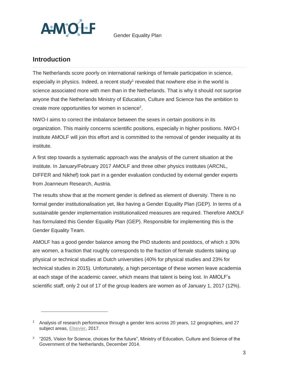

## **Introduction**

l

The Netherlands score poorly on international rankings of female participation in science, especially in physics. Indeed, a recent study<sup>1</sup> revealed that nowhere else in the world is science associated more with men than in the Netherlands. That is why it should not surprise anyone that the Netherlands Ministry of Education, Culture and Science has the ambition to create more opportunities for women in science<sup>2</sup>.

NWO-I aims to correct the imbalance between the sexes in certain positions in its organization. This mainly concerns scientific positions, especially in higher positions. NWO-I institute AMOLF will join this effort and is committed to the removal of gender inequality at its institute.

A first step towards a systematic approach was the analysis of the current situation at the institute. In January/February 2017 AMOLF and three other physics institutes (ARCNL, DIFFER and Nikhef) took part in a gender evaluation conducted by external gender experts from Joanneum Research, Austria.

The results show that at the moment gender is defined as element of diversity. There is no formal gender institutionalisation yet, like having a Gender Equality Plan (GEP). In terms of a sustainable gender implementation institutionalized measures are required. Therefore AMOLF has formulated this Gender Equality Plan (GEP). Responsible for implementing this is the Gender Equality Team.

AMOLF has a good gender balance among the PhD students and postdocs, of which  $\pm$  30% are women, a fraction that roughly corresponds to the fraction of female students taking up physical or technical studies at Dutch universities (40% for physical studies and 23% for technical studies in 2015). Unfortunately, a high percentage of these women leave academia at each stage of the academic career, which means that talent is being lost. In AMOLF's scientific staff, only 2 out of 17 of the group leaders are women as of January 1, 2017 (12%).

<sup>&</sup>lt;sup>1</sup> Analysis of research performance through a gender lens across 20 years, 12 geographies, and 27 subject areas, Elsevier, 2017.

<sup>&</sup>lt;sup>2</sup> "2025, Vision for Science, choices for the future", Ministry of Education, Culture and Science of the Government of the Netherlands, December 2014.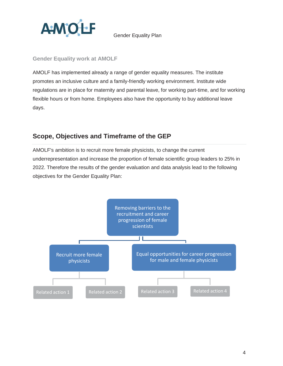

#### **Gender Equality work at AMOLF**

AMOLF has implemented already a range of gender equality measures. The institute promotes an inclusive culture and a family-friendly working environment. Institute wide regulations are in place for maternity and parental leave, for working part-time, and for working flexible hours or from home. Employees also have the opportunity to buy additional leave days.

## **Scope, Objectives and Timeframe of the GEP**

AMOLF's ambition is to recruit more female physicists, to change the current underrepresentation and increase the proportion of female scientific group leaders to 25% in 2022. Therefore the results of the gender evaluation and data analysis lead to the following objectives for the Gender Equality Plan:

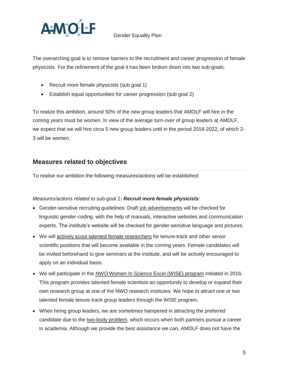

The overarching goal is to remove barriers to the recruitment and career progression of female physicists. For the refinement of the goal it has been broken down into two sub-goals:

- Recruit more female physicists (sub goal 1)
- Establish equal opportunities for career progression (sub goal 2)

To realize this ambition, around 50% of the new group leaders that AMOLF will hire in the coming years must be women. In view of the average turn-over of group leaders at AMOLF, we expect that we will hire circa 5 new group leaders until in the period 2018-2022, of which 2- 3 will be women.

## **Measures related to objectives**

To realise our ambition the following measures/actions will be established.

#### *Measures/actions related to sub-goal 1***:** *Recruit more female physicists*:

- Gender-sensitive recruiting guidelines: Draft job advertisements will be checked for linguistic gender-coding, with the help of manuals, interactive websites and communication experts. The institute's website will be checked for gender-sensitive language and pictures.
- We will actively scout talented female researchers for tenure-track and other senior scientific positions that will become available in the coming years. Female candidates will be invited beforehand to give seminars at the institute, and will be actively encouraged to apply on an individual basis.
- We will participate in the NWO Women In Science Excel (WISE) program initiated in 2016. This program provides talented female scientists an opportunity to develop or expand their own research group at one of the NWO research institutes. We hope to attract one or two talented female tenure-track group leaders through the WISE program.
- When hiring group leaders, we are sometimes hampered in attracting the preferred candidate due to the two-body problem, which occurs when both partners pursue a career in academia. Although we provide the best assistance we can, AMOLF does not have the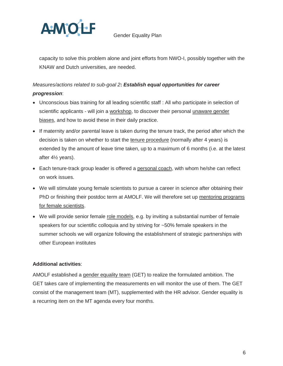

capacity to solve this problem alone and joint efforts from NWO-I, possibly together with the KNAW and Dutch universities, are needed.

### *Measures/actions related to sub-goal 2***:** *Establish equal opportunities for career*

#### *progression*:

- Unconscious bias training for all leading scientific staff : All who participate in selection of scientific applicants - will join a workshop, to discover their personal unaware gender biases, and how to avoid these in their daily practice.
- If maternity and/or parental leave is taken during the tenure track, the period after which the decision is taken on whether to start the tenure procedure (normally after 4 years) is extended by the amount of leave time taken, up to a maximum of 6 months (i.e. at the latest after 4½ years).
- Each tenure-track group leader is offered a personal coach, with whom he/she can reflect on work issues.
- We will stimulate young female scientists to pursue a career in science after obtaining their PhD or finishing their postdoc term at AMOLF. We will therefore set up mentoring programs for female scientists.
- We will provide senior female role models, e.g. by inviting a substantial number of female speakers for our scientific colloquia and by striving for ~50% female speakers in the summer schools we will organize following the establishment of strategic partnerships with other European institutes

#### **Additional activities**:

AMOLF established a gender equality team (GET) to realize the formulated ambition. The GET takes care of implementing the measurements en will monitor the use of them. The GET consist of the management team (MT), supplemented with the HR advisor. Gender equality is a recurring item on the MT agenda every four months.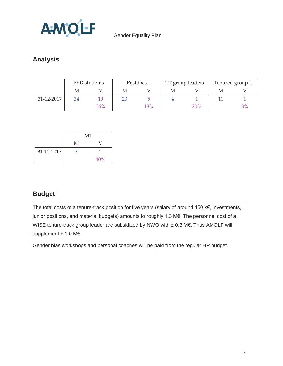

# **Analysis**

|            | PhD students |          | Postdocs |     | TT.<br>group leaders |     | Tenured group 1. |       |
|------------|--------------|----------|----------|-----|----------------------|-----|------------------|-------|
|            | M            |          | М        |     | М                    |     |                  |       |
| 31-12-2017 | 34           | <b>Q</b> | 23       |     |                      |     |                  |       |
|            |              | 36%      |          | 18% |                      | 20% |                  | $8\%$ |

|            | MТ |     |  |
|------------|----|-----|--|
|            |    |     |  |
| 31-12-2017 | 3  |     |  |
|            |    | 40% |  |

# **Budget**

The total costs of a tenure-track position for five years (salary of around 450 k€, investments, junior positions, and material budgets) amounts to roughly 1.3 M€. The personnel cost of a WISE tenure-track group leader are subsidized by NWO with ± 0.3 M€. Thus AMOLF will supplement  $± 1.0$  M€.

Gender bias workshops and personal coaches will be paid from the regular HR budget.